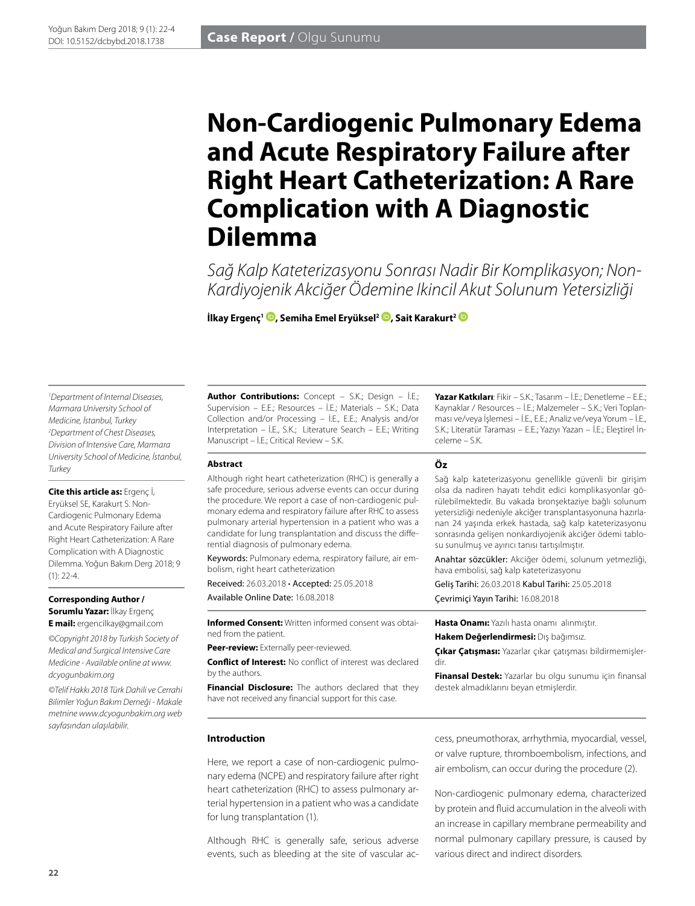# **Non-Cardiogenic Pulmonary Edema and Acute Respiratory Failure after Right Heart Catheterization: A Rare Complication with A Diagnostic Dilemma**

*Sağ Kalp Kateterizasyonu Sonrası Nadir Bir Komplikasyon; Non-Kardiyojenik Akciğer Ödemine Ikincil Akut Solunum Yetersizliği*

**İlkay Ergenç1 [,](http://orcid.org/0000-0003-1539-501X) Semiha Emel Eryüksel2 [,](http://orcid.org/0000-0002-2194-8066) Sait Karakurt[2](http://orcid.org/0000-0002-6699-5798)**

*1 Department of Internal Diseases, Marmara University School of Medicine, İstanbul, Turkey 2 Department of Chest Diseases, Division of Intensive Care, Marmara University School of Medicine, İstanbul, Turkey*

**Cite this article as:** Ergenç İ, Eryüksel SE, Karakurt S. Non-Cardiogenic Pulmonary Edema and Acute Respiratory Failure after Right Heart Catheterization: A Rare Complication with A Diagnostic Dilemma. Yoğun Bakım Derg 2018; 9  $(1): 22 - 4.$ 

**Corresponding Author / Sorumlu Yazar:** İlkay Ergenç **E mail:** ergencilkay@gmail.com

*©Copyright 2018 by Turkish Society of Medical and Surgical Intensive Care Medicine - Available online at www. dcyogunbakim.org*

*©Telif Hakkı 2018 Türk Dahili ve Cerrahi Bilimler Yoğun Bakım Derneği - Makale metnine www.dcyogunbakim.org web sayfasından ulaşılabilir.* 

**Author Contributions:** Concept – S.K.; Design – İ.E.; Supervision – E.E.; Resources – İ.E.; Materials – S.K.; Data Collection and/or Processing – İ.E., E.E.; Analysis and/or Interpretation – İ.E., S.K.; Literature Search – E.E.; Writing Manuscript – İ.E.; Critical Review – S.K.

**Yazar Katkıları**: Fikir – S.K.; Tasarım – İ.E.; Denetleme – E.E.; Kaynaklar / Resources – İ.E.; Malzemeler – S.K.; Veri Toplanması ve/veya İşlemesi – İ.E., E.E.; Analiz ve/veya Yorum – İ.E., S.K.; Literatür Taraması – E.E.; Yazıyı Yazan – İ.E.; Eleştirel İnceleme – S.K.

| <b>Abstract</b>                                           | Öz                |
|-----------------------------------------------------------|-------------------|
| Although right heart catheterization (RHC) is generally a | Sağ kalp katete   |
| safe procedure, serious adverse events can occur during   | olsa da nadiren   |
| the procedure. We report a case of non-cardiogenic pul-   | rülebilmektedir.  |
| monary edema and respiratory failure after RHC to assess  | vetersizliği nede |
| pulmonary arterial hypertension in a patient who was a    | nan 24 yasında    |
| candidate for lung transplantation and discuss the diffe- | sonrasında geliş  |
| rential diagnosis of pulmonary edema.                     | su sunulmus ve    |
| Keywords: Pulmonary edema, respiratory failure, air em-   | Anahtar sözcül    |
| bolism, right heart catheterization                       | hava embolisi, s  |

Received: 26.03.2018 • Accepted: 25.05.2018 Available Online Date: 16.08.2018

**Informed Consent:** Written informed consent was obtained from the patient.

**Peer-review:** Externally peer-reviewed.

**Conflict of Interest:** No conflict of interest was declared by the authors.

**Financial Disclosure:** The authors declared that they have not received any financial support for this case.

erizasyonu genellikle güvenli bir girişim hayatı tehdit edici komplikasyonlar gö-Bu vakada bronşektaziye bağlı solunum eniyle akciğer transplantasyonuna hazırlaerkek hastada, sağ kalp kateterizasyonu sen nonkardiyojenik akciğer ödemi tabloayırıcı tanısı tartışılmıştır.

kler: Akciğer ödemi, solunum yetmezliği, ağ kalp kateterizasyonu

Geliş Tarihi: 26.03.2018 Kabul Tarihi: 25.05.2018 Çevrimiçi Yayın Tarihi: 16.08.2018

**Hasta Onamı:** Yazılı hasta onamı alınmıştır. **Hakem Değerlendirmesi:** Dış bağımsız.

**Çıkar Çatışması:** Yazarlar çıkar çatışması bildirmemişlerdir.

**Finansal Destek:** Yazarlar bu olgu sunumu için finansal destek almadıklarını beyan etmişlerdir.

#### **Introduction**

Here, we report a case of non-cardiogenic pulmonary edema (NCPE) and respiratory failure after right heart catheterization (RHC) to assess pulmonary arterial hypertension in a patient who was a candidate for lung transplantation (1).

Although RHC is generally safe, serious adverse events, such as bleeding at the site of vascular access, pneumothorax, arrhythmia, myocardial, vessel, or valve rupture, thromboembolism, infections, and air embolism, can occur during the procedure (2).

Non-cardiogenic pulmonary edema, characterized by protein and fluid accumulation in the alveoli with an increase in capillary membrane permeability and normal pulmonary capillary pressure, is caused by various direct and indirect disorders.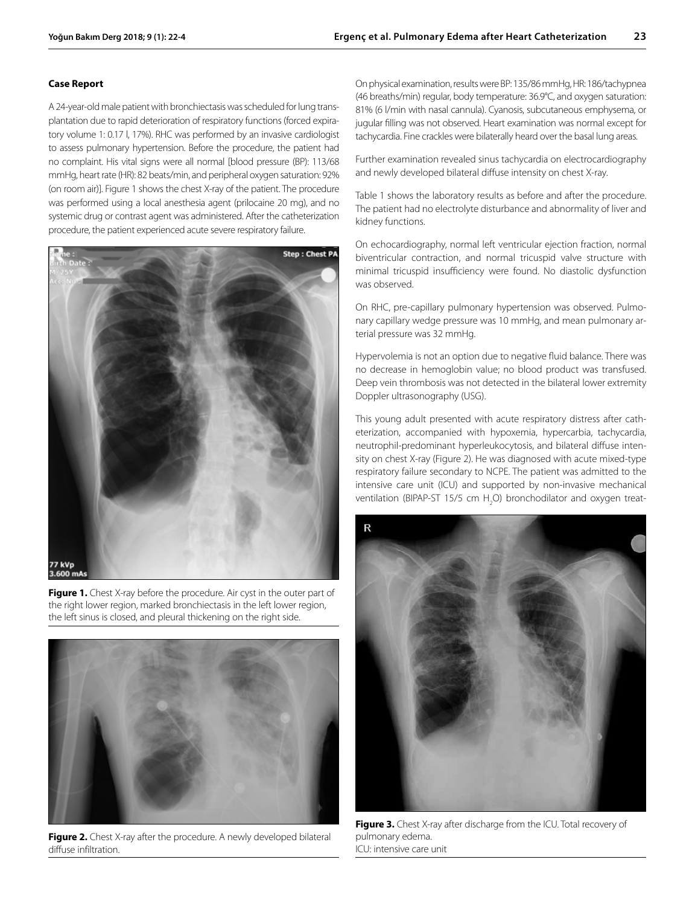## **Case Report**

A 24-year-old male patient with bronchiectasis was scheduled for lung transplantation due to rapid deterioration of respiratory functions (forced expiratory volume 1: 0.17 l, 17%). RHC was performed by an invasive cardiologist to assess pulmonary hypertension. Before the procedure, the patient had no complaint. His vital signs were all normal [blood pressure (BP): 113/68 mmHg, heart rate (HR): 82 beats/min, and peripheral oxygen saturation: 92% (on room air)]. Figure 1 shows the chest X-ray of the patient. The procedure was performed using a local anesthesia agent (prilocaine 20 mg), and no systemic drug or contrast agent was administered. After the catheterization procedure, the patient experienced acute severe respiratory failure.



Figure 1. Chest X-ray before the procedure. Air cyst in the outer part of the right lower region, marked bronchiectasis in the left lower region, the left sinus is closed, and pleural thickening on the right side.



**Figure 2.** Chest X-ray after the procedure. A newly developed bilateral diffuse infiltration.

On physical examination, results were BP: 135/86 mmHg, HR: 186/tachypnea (46 breaths/min) regular, body temperature: 36.9°C, and oxygen saturation: 81% (6 l/min with nasal cannula). Cyanosis, subcutaneous emphysema, or jugular filling was not observed. Heart examination was normal except for tachycardia. Fine crackles were bilaterally heard over the basal lung areas.

Further examination revealed sinus tachycardia on electrocardiography and newly developed bilateral diffuse intensity on chest X-ray.

Table 1 shows the laboratory results as before and after the procedure. The patient had no electrolyte disturbance and abnormality of liver and kidney functions.

On echocardiography, normal left ventricular ejection fraction, normal biventricular contraction, and normal tricuspid valve structure with minimal tricuspid insufficiency were found. No diastolic dysfunction was observed.

On RHC, pre-capillary pulmonary hypertension was observed. Pulmonary capillary wedge pressure was 10 mmHg, and mean pulmonary arterial pressure was 32 mmHg.

Hypervolemia is not an option due to negative fluid balance. There was no decrease in hemoglobin value; no blood product was transfused. Deep vein thrombosis was not detected in the bilateral lower extremity Doppler ultrasonography (USG).

This young adult presented with acute respiratory distress after catheterization, accompanied with hypoxemia, hypercarbia, tachycardia, neutrophil-predominant hyperleukocytosis, and bilateral diffuse intensity on chest X-ray (Figure 2). He was diagnosed with acute mixed-type respiratory failure secondary to NCPE. The patient was admitted to the intensive care unit (ICU) and supported by non-invasive mechanical ventilation (BIPAP-ST 15/5 cm  $H_2$ O) bronchodilator and oxygen treat-



**Figure 3.** Chest X-ray after discharge from the ICU. Total recovery of pulmonary edema. ICU: intensive care unit